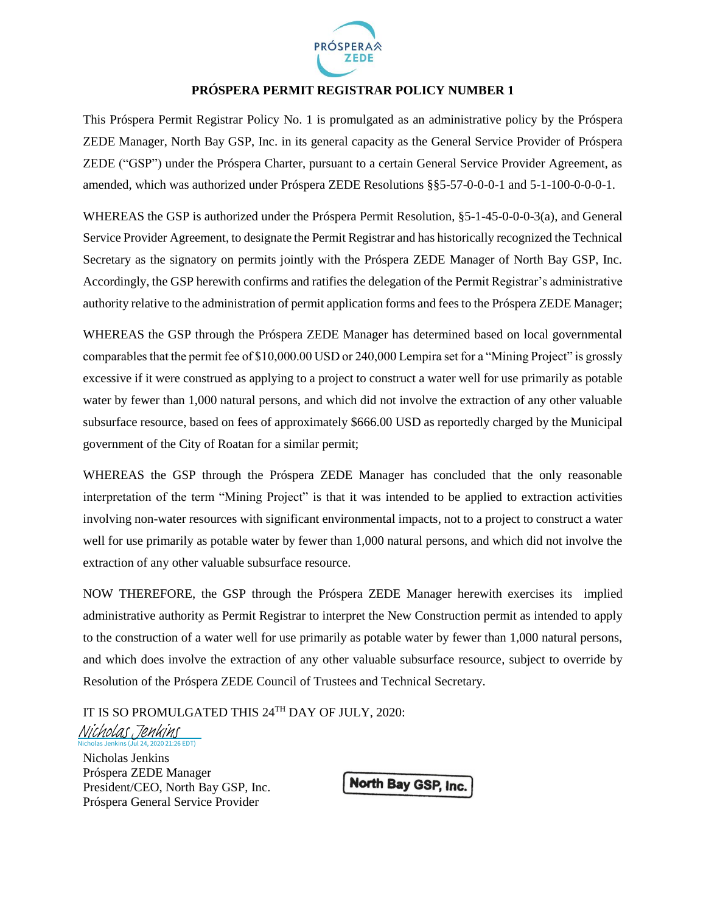

## **PRÓSPERA PERMIT REGISTRAR POLICY NUMBER 1**

This Próspera Permit Registrar Policy No. 1 is promulgated as an administrative policy by the Próspera ZEDE Manager, North Bay GSP, Inc. in its general capacity as the General Service Provider of Próspera ZEDE ("GSP") under the Próspera Charter, pursuant to a certain General Service Provider Agreement, as amended, which was authorized under Próspera ZEDE Resolutions §§5-57-0-0-0-1 and 5-1-100-0-0-0-1.

WHEREAS the GSP is authorized under the Próspera Permit Resolution, §5-1-45-0-0-0-3(a), and General Service Provider Agreement, to designate the Permit Registrar and has historically recognized the Technical Secretary as the signatory on permits jointly with the Próspera ZEDE Manager of North Bay GSP, Inc. Accordingly, the GSP herewith confirms and ratifies the delegation of the Permit Registrar's administrative authority relative to the administration of permit application forms and fees to the Próspera ZEDE Manager;

WHEREAS the GSP through the Próspera ZEDE Manager has determined based on local governmental comparables that the permit fee of \$10,000.00 USD or 240,000 Lempira set for a "Mining Project" is grossly excessive if it were construed as applying to a project to construct a water well for use primarily as potable water by fewer than 1,000 natural persons, and which did not involve the extraction of any other valuable subsurface resource, based on fees of approximately \$666.00 USD as reportedly charged by the Municipal government of the City of Roatan for a similar permit;

WHEREAS the GSP through the Próspera ZEDE Manager has concluded that the only reasonable interpretation of the term "Mining Project" is that it was intended to be applied to extraction activities involving non-water resources with significant environmental impacts, not to a project to construct a water well for use primarily as potable water by fewer than 1,000 natural persons, and which did not involve the extraction of any other valuable subsurface resource.

NOW THEREFORE, the GSP through the Próspera ZEDE Manager herewith exercises its implied administrative authority as Permit Registrar to interpret the New Construction permit as intended to apply to the construction of a water well for use primarily as potable water by fewer than 1,000 natural persons, and which does involve the extraction of any other valuable subsurface resource, subject to override by Resolution of the Próspera ZEDE Council of Trustees and Technical Secretary.

IT IS SO PROMULGATED THIS 24 TH DAY OF [JULY, 2020:](https://eu1.documents.adobe.com/verifier?tx=CBJCHBCAABAAcg8UH_SNGTvGp4sBALCXqH91UMYFdOZs)

Nicholas Jenkins (Jul 24, 2020 21:26 EDT) [Nicholas Jenkins](https://eu1.documents.adobe.com/verifier?tx=CBJCHBCAABAAcg8UH_SNGTvGp4sBALCXqH91UMYFdOZs)

Nicholas Jenkins Próspera ZEDE Manager President/CEO, North Bay GSP, Inc. Próspera General Service Provider

North Bay GSP, Inc.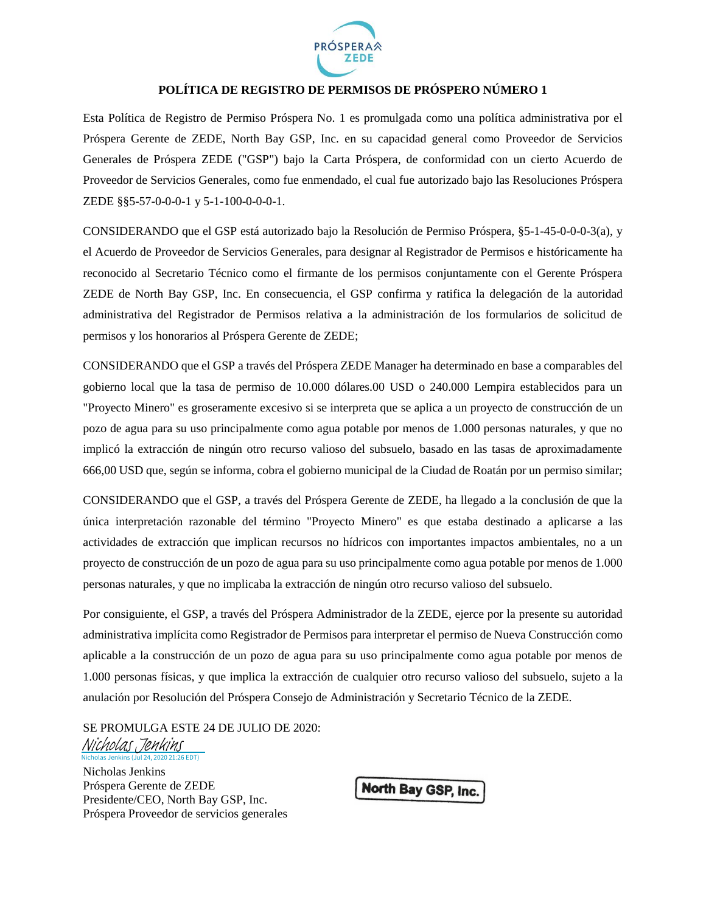

## **POLÍTICA DE REGISTRO DE PERMISOS DE PRÓSPERO NÚMERO 1**

Esta Política de Registro de Permiso Próspera No. 1 es promulgada como una política administrativa por el Próspera Gerente de ZEDE, North Bay GSP, Inc. en su capacidad general como Proveedor de Servicios Generales de Próspera ZEDE ("GSP") bajo la Carta Próspera, de conformidad con un cierto Acuerdo de Proveedor de Servicios Generales, como fue enmendado, el cual fue autorizado bajo las Resoluciones Próspera ZEDE §§5-57-0-0-0-1 y 5-1-100-0-0-0-1.

CONSIDERANDO que el GSP está autorizado bajo la Resolución de Permiso Próspera, §5-1-45-0-0-0-3(a), y el Acuerdo de Proveedor de Servicios Generales, para designar al Registrador de Permisos e históricamente ha reconocido al Secretario Técnico como el firmante de los permisos conjuntamente con el Gerente Próspera ZEDE de North Bay GSP, Inc. En consecuencia, el GSP confirma y ratifica la delegación de la autoridad administrativa del Registrador de Permisos relativa a la administración de los formularios de solicitud de permisos y los honorarios al Próspera Gerente de ZEDE;

CONSIDERANDO que el GSP a través del Próspera ZEDE Manager ha determinado en base a comparables del gobierno local que la tasa de permiso de 10.000 dólares.00 USD o 240.000 Lempira establecidos para un "Proyecto Minero" es groseramente excesivo si se interpreta que se aplica a un proyecto de construcción de un pozo de agua para su uso principalmente como agua potable por menos de 1.000 personas naturales, y que no implicó la extracción de ningún otro recurso valioso del subsuelo, basado en las tasas de aproximadamente 666,00 USD que, según se informa, cobra el gobierno municipal de la Ciudad de Roatán por un permiso similar;

CONSIDERANDO que el GSP, a través del Próspera Gerente de ZEDE, ha llegado a la conclusión de que la única interpretación razonable del término "Proyecto Minero" es que estaba destinado a aplicarse a las actividades de extracción que implican recursos no hídricos con importantes impactos ambientales, no a un proyecto de construcción de un pozo de agua para su uso principalmente como agua potable por menos de 1.000 personas naturales, y que no implicaba la extracción de ningún otro recurso valioso del subsuelo.

Por consiguiente, el GSP, a través del Próspera Administrador de la ZEDE, ejerce por la presente su autoridad administrativa implícita como Registrador de Permisos para interpretar el permiso de Nueva Construcción como aplicable a la construcción de un pozo de agua para su uso principalmente como agua potable por menos de 1.000 personas físicas, y que implica la extracción de cualquier otro recurso valioso del subsuelo, sujeto a la anulación por Resolución del Próspera Consejo de Administración y Secretario Técnico de la ZEDE.

SE PROMULGA ESTE 24 DE JULIO DE 2020:

#### 21:26 EDT) [Nicholas Jenkins](https://eu1.documents.adobe.com/verifier?tx=CBJCHBCAABAAcg8UH_SNGTvGp4sBALCXqH91UMYFdOZs)

Nicholas Jenkins Próspera Gerente de ZEDE Presidente/CEO, North Bay GSP, Inc. Próspera Proveedor de servicios generales

North Bay GSP, Inc.